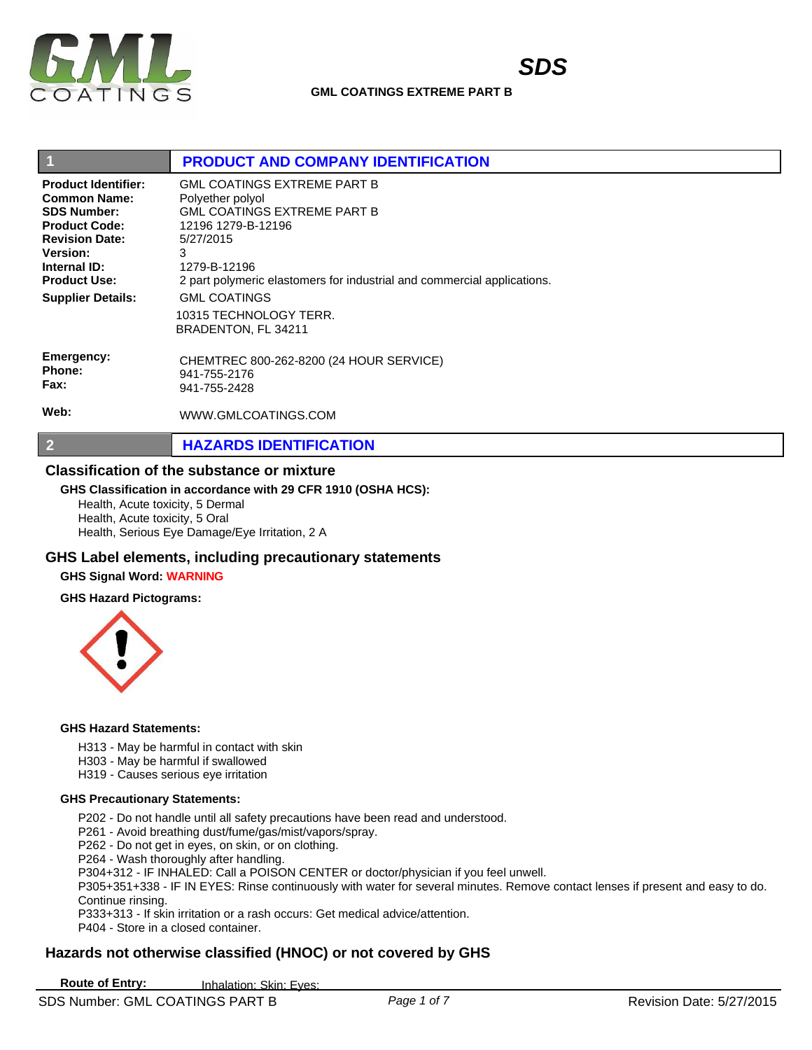

| $\boxed{1}$                                                                                                                                                                                                    | <b>PRODUCT AND COMPANY IDENTIFICATION</b>                                                                                                                                                                                                                                        |
|----------------------------------------------------------------------------------------------------------------------------------------------------------------------------------------------------------------|----------------------------------------------------------------------------------------------------------------------------------------------------------------------------------------------------------------------------------------------------------------------------------|
| <b>Product Identifier:</b><br><b>Common Name:</b><br><b>SDS Number:</b><br><b>Product Code:</b><br><b>Revision Date:</b><br><b>Version:</b><br>Internal ID:<br><b>Product Use:</b><br><b>Supplier Details:</b> | <b>GML COATINGS EXTREME PART B</b><br>Polyether polyol<br><b>GML COATINGS EXTREME PART B</b><br>12196 1279-B-12196<br>5/27/2015<br>3<br>1279-B-12196<br>2 part polymeric elastomers for industrial and commercial applications.<br><b>GML COATINGS</b><br>10315 TECHNOLOGY TERR. |
| Emergency:<br>Phone:<br>Fax:<br>Web:                                                                                                                                                                           | BRADENTON, FL 34211<br>CHEMTREC 800-262-8200 (24 HOUR SERVICE)<br>941-755-2176<br>941-755-2428<br>WWW.GMLCOATINGS.COM                                                                                                                                                            |
| $\vert$ 2                                                                                                                                                                                                      | <b>HAZARDS IDENTIFICATION</b>                                                                                                                                                                                                                                                    |

#### **Classification of the substance or mixture**

#### **GHS Classification in accordance with 29 CFR 1910 (OSHA HCS):**

Health, Acute toxicity, 5 Dermal Health, Acute toxicity, 5 Oral Health, Serious Eye Damage/Eye Irritation, 2 A

# **GHS Label elements, including precautionary statements**

## **GHS Signal Word: WARNING**

#### **GHS Hazard Pictograms:**



#### **GHS Hazard Statements:**

- H313 May be harmful in contact with skin
- H303 May be harmful if swallowed
- H319 Causes serious eye irritation

#### **GHS Precautionary Statements:**

- P202 Do not handle until all safety precautions have been read and understood.
- P261 Avoid breathing dust/fume/gas/mist/vapors/spray.
- P262 Do not get in eyes, on skin, or on clothing.
- P264 Wash thoroughly after handling.
- P304+312 IF INHALED: Call a POISON CENTER or doctor/physician if you feel unwell.
- P305+351+338 IF IN EYES: Rinse continuously with water for several minutes. Remove contact lenses if present and easy to do. Continue rinsing.
- P333+313 If skin irritation or a rash occurs: Get medical advice/attention.
- P404 Store in a closed container.

# **Hazards not otherwise classified (HNOC) or not covered by GHS**

**Route of Entry:** Inhalation: Skin: Eyes: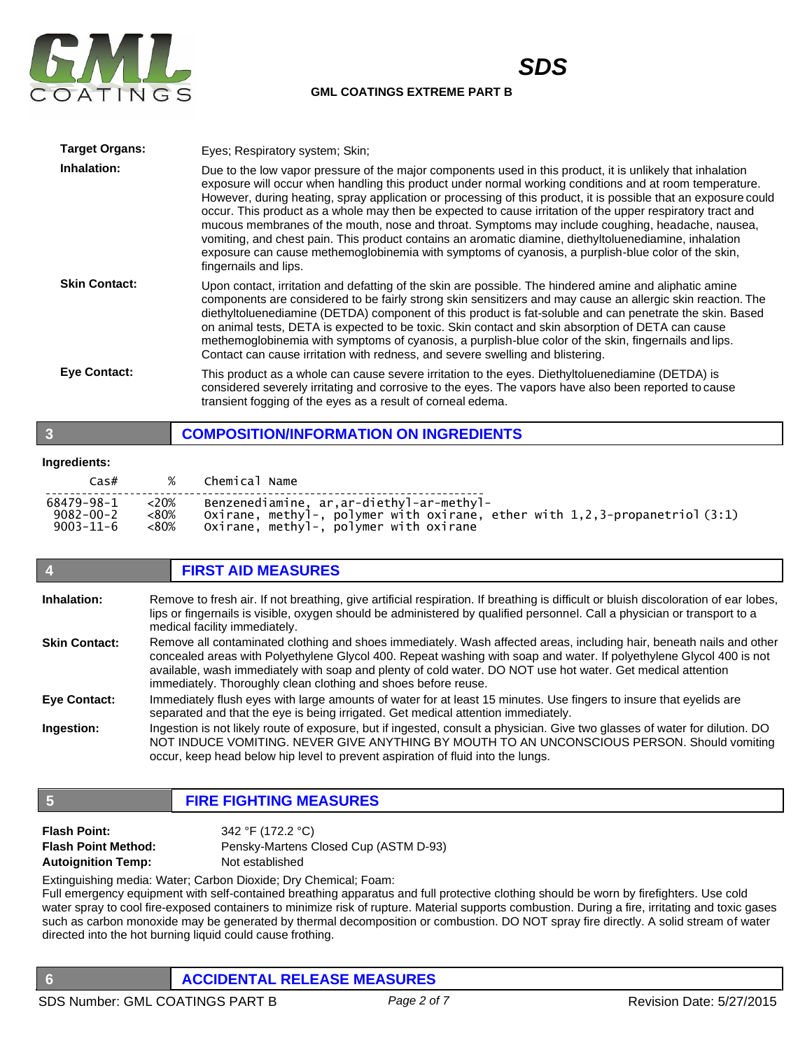

*SDS*

| <b>Target Organs:</b> | Eyes; Respiratory system; Skin;                                                                                                                                                                                                                                                                                                                                                                                                                                                                                                                                                                                                                                                                                                                                                                     |
|-----------------------|-----------------------------------------------------------------------------------------------------------------------------------------------------------------------------------------------------------------------------------------------------------------------------------------------------------------------------------------------------------------------------------------------------------------------------------------------------------------------------------------------------------------------------------------------------------------------------------------------------------------------------------------------------------------------------------------------------------------------------------------------------------------------------------------------------|
| Inhalation:           | Due to the low vapor pressure of the major components used in this product, it is unlikely that inhalation<br>exposure will occur when handling this product under normal working conditions and at room temperature.<br>However, during heating, spray application or processing of this product, it is possible that an exposure could<br>occur. This product as a whole may then be expected to cause irritation of the upper respiratory tract and<br>mucous membranes of the mouth, nose and throat. Symptoms may include coughing, headache, nausea,<br>vomiting, and chest pain. This product contains an aromatic diamine, diethyltoluenediamine, inhalation<br>exposure can cause methemoglobinemia with symptoms of cyanosis, a purplish-blue color of the skin,<br>fingernails and lips. |
| <b>Skin Contact:</b>  | Upon contact, irritation and defatting of the skin are possible. The hindered amine and aliphatic amine<br>components are considered to be fairly strong skin sensitizers and may cause an allergic skin reaction. The<br>diethyltoluenediamine (DETDA) component of this product is fat-soluble and can penetrate the skin. Based<br>on animal tests, DETA is expected to be toxic. Skin contact and skin absorption of DETA can cause<br>methemoglobinemia with symptoms of cyanosis, a purplish-blue color of the skin, fingernails and lips.<br>Contact can cause irritation with redness, and severe swelling and blistering.                                                                                                                                                                  |
| <b>Eve Contact:</b>   | This product as a whole can cause severe irritation to the eyes. Diethyltoluenediamine (DETDA) is<br>considered severely irritating and corrosive to the eyes. The vapors have also been reported to cause<br>transient fogging of the eyes as a result of corneal edema.                                                                                                                                                                                                                                                                                                                                                                                                                                                                                                                           |

# **3 COMPOSITION/INFORMATION ON INGREDIENTS**

#### **Ingredients:**

| Cas#            | $\%$    | Chemical Name                                                               |
|-----------------|---------|-----------------------------------------------------------------------------|
| 68479–98–1      | $<20\%$ | Benzenediamine, ar, ar-diethyl-ar-methyl-                                   |
| $9082 - 00 - 2$ | <80%    | Oxirane, methyl-, polymer with oxirane, ether with 1,2,3-propanetriol (3:1) |
| 9003-11-6       | $<80\%$ | Oxirane, methyl-, polymer with oxirane                                      |

# **4 FIRST AID MEASURES**

| Inhalation:          | Remove to fresh air. If not breathing, give artificial respiration. If breathing is difficult or bluish discoloration of ear lobes,<br>lips or fingernails is visible, oxygen should be administered by qualified personnel. Call a physician or transport to a<br>medical facility immediately.                                                                                                                             |
|----------------------|------------------------------------------------------------------------------------------------------------------------------------------------------------------------------------------------------------------------------------------------------------------------------------------------------------------------------------------------------------------------------------------------------------------------------|
| <b>Skin Contact:</b> | Remove all contaminated clothing and shoes immediately. Wash affected areas, including hair, beneath nails and other<br>concealed areas with Polyethylene Glycol 400. Repeat washing with soap and water. If polyethylene Glycol 400 is not<br>available, wash immediately with soap and plenty of cold water. DO NOT use hot water. Get medical attention<br>immediately. Thoroughly clean clothing and shoes before reuse. |
| <b>Eve Contact:</b>  | Immediately flush eyes with large amounts of water for at least 15 minutes. Use fingers to insure that eyelids are<br>separated and that the eye is being irrigated. Get medical attention immediately.                                                                                                                                                                                                                      |
| Ingestion:           | Ingestion is not likely route of exposure, but if ingested, consult a physician. Give two glasses of water for dilution. DO<br>NOT INDUCE VOMITING. NEVER GIVE ANYTHING BY MOUTH TO AN UNCONSCIOUS PERSON. Should vomiting<br>occur, keep head below hip level to prevent aspiration of fluid into the lungs.                                                                                                                |

# **5 FIRE FIGHTING MEASURES**

| <b>Flash Point:</b>        | 342 °F (172.2 °C)                     |
|----------------------------|---------------------------------------|
| <b>Flash Point Method:</b> | Pensky-Martens Closed Cup (ASTM D-93) |
| <b>Autoignition Temp:</b>  | Not established                       |

Extinguishing media: Water; Carbon Dioxide; Dry Chemical; Foam:

Full emergency equipment with self-contained breathing apparatus and full protective clothing should be worn by firefighters. Use cold water spray to cool fire-exposed containers to minimize risk of rupture. Material supports combustion. During a fire, irritating and toxic gases such as carbon monoxide may be generated by thermal decomposition or combustion. DO NOT spray fire directly. A solid stream of water directed into the hot burning liquid could cause frothing.

**6 ACCIDENTAL RELEASE MEASURES**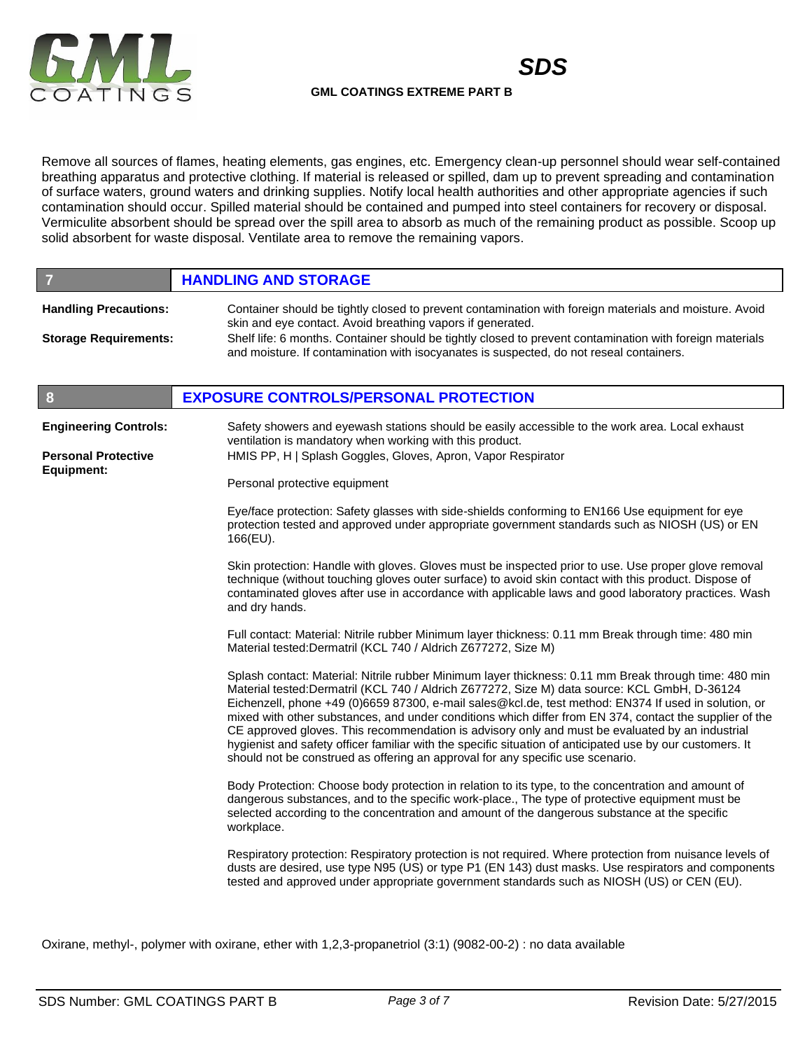



Remove all sources of flames, heating elements, gas engines, etc. Emergency clean-up personnel should wear self-contained breathing apparatus and protective clothing. If material is released or spilled, dam up to prevent spreading and contamination of surface waters, ground waters and drinking supplies. Notify local health authorities and other appropriate agencies if such contamination should occur. Spilled material should be contained and pumped into steel containers for recovery or disposal. Vermiculite absorbent should be spread over the spill area to absorb as much of the remaining product as possible. Scoop up solid absorbent for waste disposal. Ventilate area to remove the remaining vapors.

| $\overline{\phantom{a}}$                                     | <b>HANDLING AND STORAGE</b>                                                                                                                                                                                                                                                                                                                                                                                                                                                                                                                                                                                                                                                                                                |
|--------------------------------------------------------------|----------------------------------------------------------------------------------------------------------------------------------------------------------------------------------------------------------------------------------------------------------------------------------------------------------------------------------------------------------------------------------------------------------------------------------------------------------------------------------------------------------------------------------------------------------------------------------------------------------------------------------------------------------------------------------------------------------------------------|
| <b>Handling Precautions:</b><br><b>Storage Requirements:</b> | Container should be tightly closed to prevent contamination with foreign materials and moisture. Avoid<br>skin and eye contact. Avoid breathing vapors if generated.<br>Shelf life: 6 months. Container should be tightly closed to prevent contamination with foreign materials<br>and moisture. If contamination with isocyanates is suspected, do not reseal containers.                                                                                                                                                                                                                                                                                                                                                |
| $\boldsymbol{8}$                                             | <b>EXPOSURE CONTROLS/PERSONAL PROTECTION</b>                                                                                                                                                                                                                                                                                                                                                                                                                                                                                                                                                                                                                                                                               |
| <b>Engineering Controls:</b><br><b>Personal Protective</b>   | Safety showers and eyewash stations should be easily accessible to the work area. Local exhaust<br>ventilation is mandatory when working with this product.<br>HMIS PP, H   Splash Goggles, Gloves, Apron, Vapor Respirator                                                                                                                                                                                                                                                                                                                                                                                                                                                                                                |
| <b>Equipment:</b>                                            | Personal protective equipment                                                                                                                                                                                                                                                                                                                                                                                                                                                                                                                                                                                                                                                                                              |
|                                                              | Eye/face protection: Safety glasses with side-shields conforming to EN166 Use equipment for eye<br>protection tested and approved under appropriate government standards such as NIOSH (US) or EN<br>166(EU).                                                                                                                                                                                                                                                                                                                                                                                                                                                                                                              |
|                                                              | Skin protection: Handle with gloves. Gloves must be inspected prior to use. Use proper glove removal<br>technique (without touching gloves outer surface) to avoid skin contact with this product. Dispose of<br>contaminated gloves after use in accordance with applicable laws and good laboratory practices. Wash<br>and dry hands.                                                                                                                                                                                                                                                                                                                                                                                    |
|                                                              | Full contact: Material: Nitrile rubber Minimum layer thickness: 0.11 mm Break through time: 480 min<br>Material tested: Dermatril (KCL 740 / Aldrich Z677272, Size M)                                                                                                                                                                                                                                                                                                                                                                                                                                                                                                                                                      |
|                                                              | Splash contact: Material: Nitrile rubber Minimum layer thickness: 0.11 mm Break through time: 480 min<br>Material tested:Dermatril (KCL 740 / Aldrich Z677272, Size M) data source: KCL GmbH, D-36124<br>Eichenzell, phone +49 (0)6659 87300, e-mail sales@kcl.de, test method: EN374 If used in solution, or<br>mixed with other substances, and under conditions which differ from EN 374, contact the supplier of the<br>CE approved gloves. This recommendation is advisory only and must be evaluated by an industrial<br>hygienist and safety officer familiar with the specific situation of anticipated use by our customers. It<br>should not be construed as offering an approval for any specific use scenario. |
|                                                              | Body Protection: Choose body protection in relation to its type, to the concentration and amount of<br>dangerous substances, and to the specific work-place., The type of protective equipment must be<br>selected according to the concentration and amount of the dangerous substance at the specific<br>workplace.                                                                                                                                                                                                                                                                                                                                                                                                      |
|                                                              | Respiratory protection: Respiratory protection is not required. Where protection from nuisance levels of<br>dusts are desired, use type N95 (US) or type P1 (EN 143) dust masks. Use respirators and components<br>tested and approved under appropriate government standards such as NIOSH (US) or CEN (EU).                                                                                                                                                                                                                                                                                                                                                                                                              |

Oxirane, methyl-, polymer with oxirane, ether with 1,2,3-propanetriol (3:1) (9082-00-2) : no data available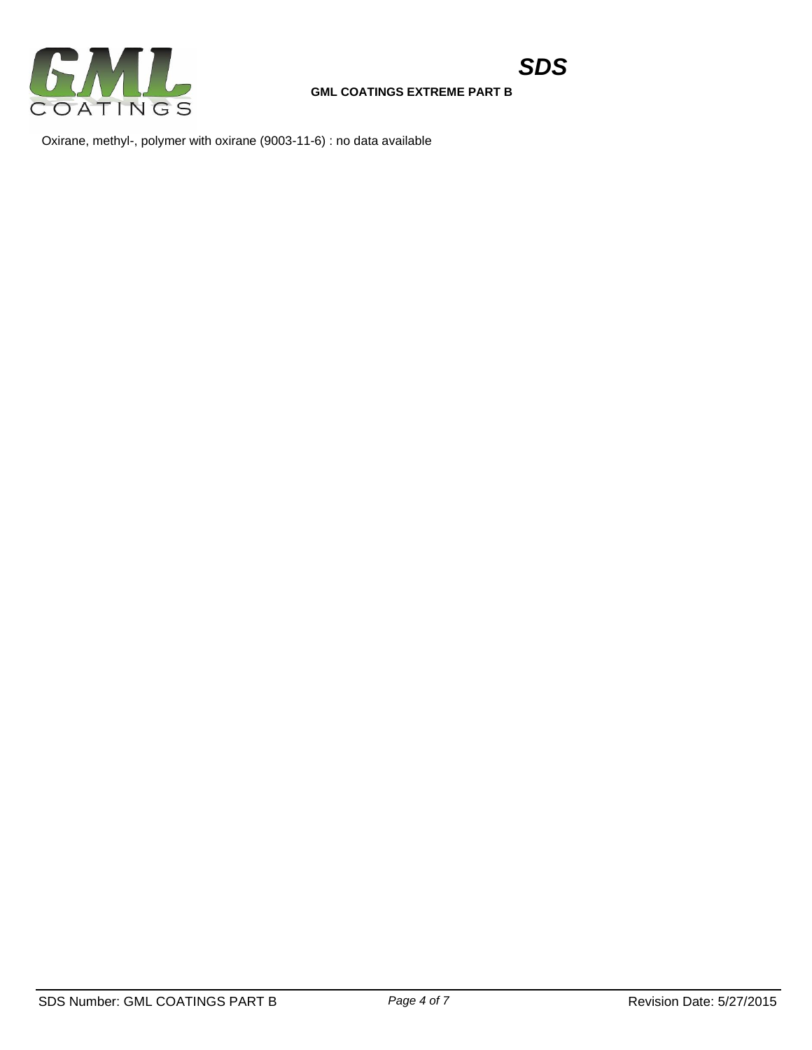

Oxirane, methyl-, polymer with oxirane (9003-11-6) : no data available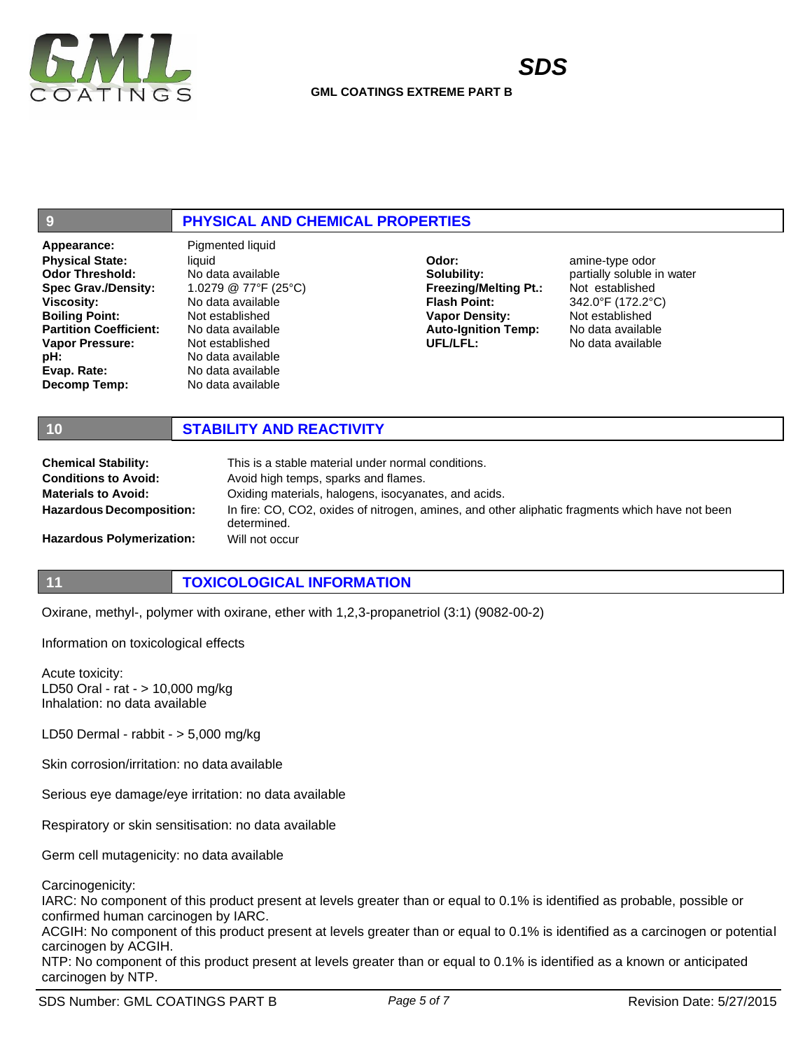

# **9 PHYSICAL AND CHEMICAL PROPERTIES**

**Appearance:** Pigmented liquid **Physical State: Odor Threshold: Spec Grav./Density: Viscosity: Boiling Point: Partition Coefficient: Vapor Pressure: pH: Evap. Rate: Decomp Temp:**

liquid No data available 1.0279 @ 77°F (25°C) No data available Not established No data available Not established No data available No data available No data available

**Odor: Solubility: Freezing/Melting Pt.: Flash Point: Vapor Density: Auto-Ignition Temp: UFL/LFL:**

amine-type odor partially soluble in water Not established 342.0°F (172.2°C) Not established No data available No data available

# **10 STABILITY AND REACTIVITY**

| <b>Chemical Stability:</b>       | This is a stable material under normal conditions.                                                             |
|----------------------------------|----------------------------------------------------------------------------------------------------------------|
| <b>Conditions to Avoid:</b>      | Avoid high temps, sparks and flames.                                                                           |
| <b>Materials to Avoid:</b>       | Oxiding materials, halogens, isocyanates, and acids.                                                           |
| <b>Hazardous Decomposition:</b>  | In fire: CO, CO2, oxides of nitrogen, amines, and other aliphatic fragments which have not been<br>determined. |
| <b>Hazardous Polymerization:</b> | Will not occur                                                                                                 |

# **11 TOXICOLOGICAL INFORMATION**

Oxirane, methyl-, polymer with oxirane, ether with 1,2,3-propanetriol (3:1) (9082-00-2)

Information on toxicological effects

Acute toxicity: LD50 Oral - rat - > 10,000 mg/kg Inhalation: no data available

LD50 Dermal - rabbit - > 5,000 mg/kg

Skin corrosion/irritation: no data available

Serious eye damage/eye irritation: no data available

Respiratory or skin sensitisation: no data available

Germ cell mutagenicity: no data available

Carcinogenicity:

IARC: No component of this product present at levels greater than or equal to 0.1% is identified as probable, possible or confirmed human carcinogen by IARC.

ACGIH: No component of this product present at levels greater than or equal to 0.1% is identified as a carcinogen or potential carcinogen by ACGIH.

NTP: No component of this product present at levels greater than or equal to 0.1% is identified as a known or anticipated carcinogen by NTP.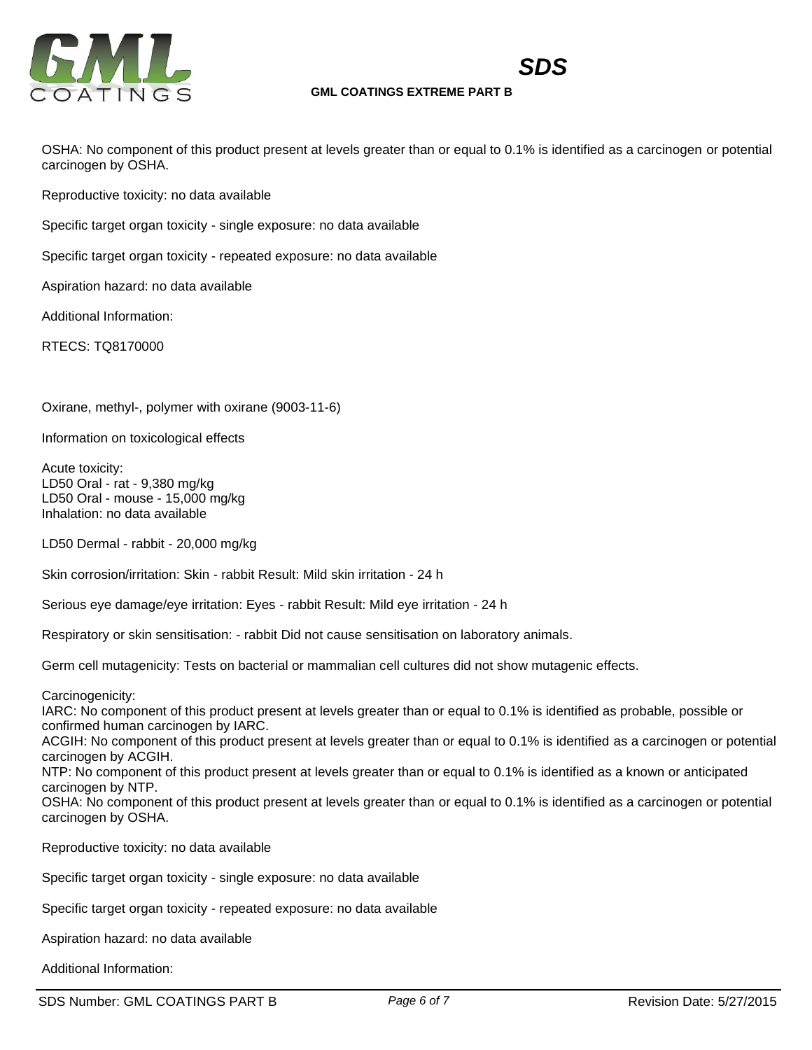

*SDS*

# **GML COATINGS EXTREME PART B**

OSHA: No component of this product present at levels greater than or equal to 0.1% is identified as a carcinogen or potential carcinogen by OSHA.

Reproductive toxicity: no data available

Specific target organ toxicity - single exposure: no data available

Specific target organ toxicity - repeated exposure: no data available

Aspiration hazard: no data available

Additional Information:

RTECS: TQ8170000

Oxirane, methyl-, polymer with oxirane (9003-11-6)

Information on toxicological effects

Acute toxicity: LD50 Oral - rat - 9,380 mg/kg LD50 Oral - mouse - 15,000 mg/kg Inhalation: no data available

LD50 Dermal - rabbit - 20,000 mg/kg

Skin corrosion/irritation: Skin - rabbit Result: Mild skin irritation - 24 h

Serious eye damage/eye irritation: Eyes - rabbit Result: Mild eye irritation - 24 h

Respiratory or skin sensitisation: - rabbit Did not cause sensitisation on laboratory animals.

Germ cell mutagenicity: Tests on bacterial or mammalian cell cultures did not show mutagenic effects.

Carcinogenicity:

IARC: No component of this product present at levels greater than or equal to 0.1% is identified as probable, possible or confirmed human carcinogen by IARC.

ACGIH: No component of this product present at levels greater than or equal to 0.1% is identified as a carcinogen or potential carcinogen by ACGIH.

NTP: No component of this product present at levels greater than or equal to 0.1% is identified as a known or anticipated carcinogen by NTP.

OSHA: No component of this product present at levels greater than or equal to 0.1% is identified as a carcinogen or potential carcinogen by OSHA.

Reproductive toxicity: no data available

Specific target organ toxicity - single exposure: no data available

Specific target organ toxicity - repeated exposure: no data available

Aspiration hazard: no data available

Additional Information: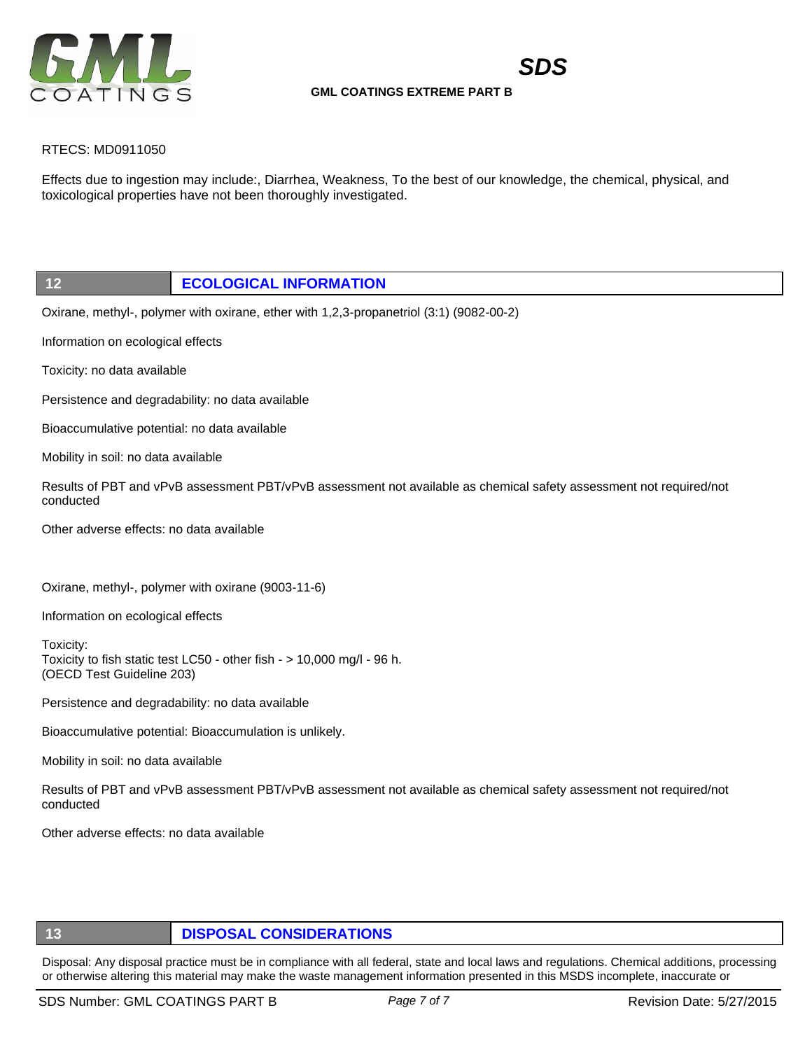

*SDS*

# RTECS: MD0911050

Effects due to ingestion may include:, Diarrhea, Weakness, To the best of our knowledge, the chemical, physical, and toxicological properties have not been thoroughly investigated.

# **12 ECOLOGICAL INFORMATION**

Oxirane, methyl-, polymer with oxirane, ether with 1,2,3-propanetriol (3:1) (9082-00-2)

Information on ecological effects

Toxicity: no data available

Persistence and degradability: no data available

Bioaccumulative potential: no data available

Mobility in soil: no data available

Results of PBT and vPvB assessment PBT/vPvB assessment not available as chemical safety assessment not required/not conducted

Other adverse effects: no data available

Oxirane, methyl-, polymer with oxirane (9003-11-6)

Information on ecological effects

Toxicity: Toxicity to fish static test LC50 - other fish - > 10,000 mg/l - 96 h. (OECD Test Guideline 203)

Persistence and degradability: no data available

Bioaccumulative potential: Bioaccumulation is unlikely.

Mobility in soil: no data available

Results of PBT and vPvB assessment PBT/vPvB assessment not available as chemical safety assessment not required/not conducted

Other adverse effects: no data available

# **13 DISPOSAL CONSIDERATIONS**

Disposal: Any disposal practice must be in compliance with all federal, state and local laws and regulations. Chemical additions, processing or otherwise altering this material may make the waste management information presented in this MSDS incomplete, inaccurate or